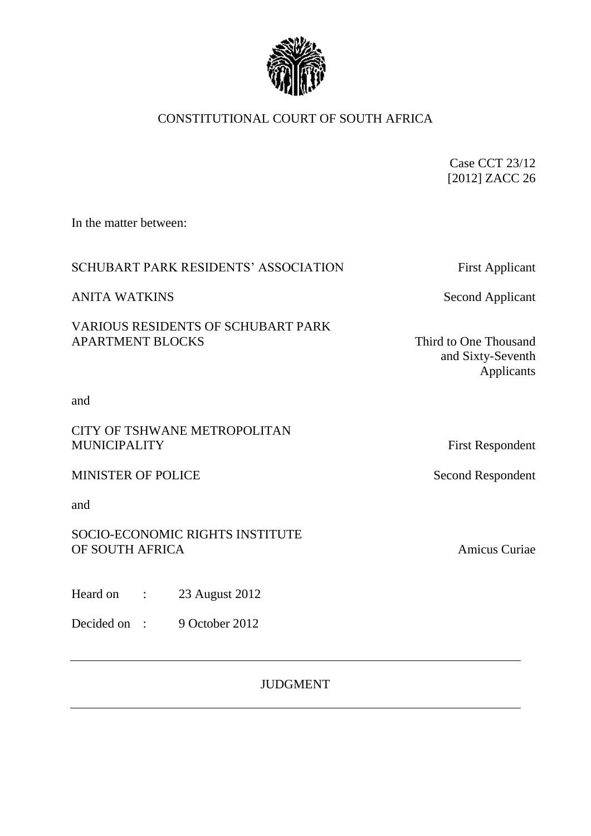

# CONSTITUTIONAL COURT OF SOUTH AFRICA

Case CCT 23/12 [2012] ZACC 26

In the matter between:

## SCHUBART PARK RESIDENTS' ASSOCIATION First Applicant

ANITA WATKINS Second Applicant

VARIOUS RESIDENTS OF SCHUBART PARK APARTMENT BLOCKS Third to One Thousand

and Sixty-Seventh Applicants

and

## CITY OF TSHWANE METROPOLITAN MUNICIPALITY First Respondent

MINISTER OF POLICE Second Respondent

and

## SOCIO-ECONOMIC RIGHTS INSTITUTE OF SOUTH AFRICA Amicus Curiae

Heard on : 23 August 2012

Decided on : 9 October 2012

JUDGMENT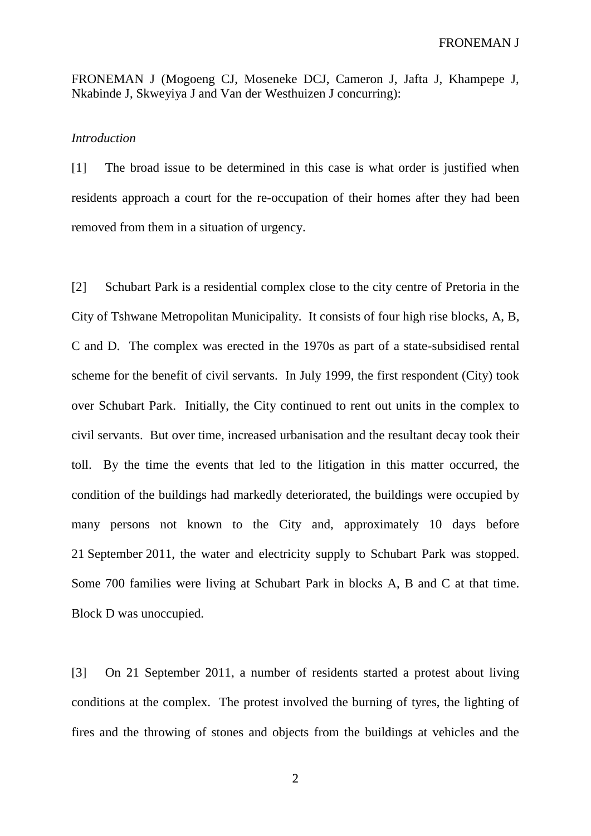FRONEMAN J (Mogoeng CJ, Moseneke DCJ, Cameron J, Jafta J, Khampepe J, Nkabinde J, Skweyiya J and Van der Westhuizen J concurring):

#### *Introduction*

[1] The broad issue to be determined in this case is what order is justified when residents approach a court for the re-occupation of their homes after they had been removed from them in a situation of urgency.

[2] Schubart Park is a residential complex close to the city centre of Pretoria in the City of Tshwane Metropolitan Municipality. It consists of four high rise blocks, A, B, C and D. The complex was erected in the 1970s as part of a state-subsidised rental scheme for the benefit of civil servants. In July 1999, the first respondent (City) took over Schubart Park. Initially, the City continued to rent out units in the complex to civil servants. But over time, increased urbanisation and the resultant decay took their toll. By the time the events that led to the litigation in this matter occurred, the condition of the buildings had markedly deteriorated, the buildings were occupied by many persons not known to the City and, approximately 10 days before 21 September 2011, the water and electricity supply to Schubart Park was stopped. Some 700 families were living at Schubart Park in blocks A, B and C at that time. Block D was unoccupied.

[3] On 21 September 2011, a number of residents started a protest about living conditions at the complex. The protest involved the burning of tyres, the lighting of fires and the throwing of stones and objects from the buildings at vehicles and the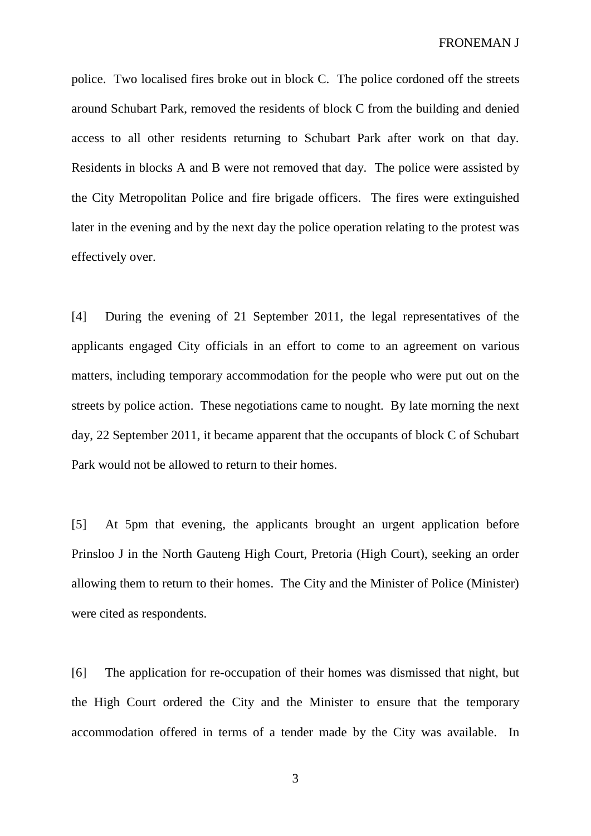police. Two localised fires broke out in block C. The police cordoned off the streets around Schubart Park, removed the residents of block C from the building and denied access to all other residents returning to Schubart Park after work on that day. Residents in blocks A and B were not removed that day. The police were assisted by the City Metropolitan Police and fire brigade officers. The fires were extinguished later in the evening and by the next day the police operation relating to the protest was effectively over.

[4] During the evening of 21 September 2011, the legal representatives of the applicants engaged City officials in an effort to come to an agreement on various matters, including temporary accommodation for the people who were put out on the streets by police action. These negotiations came to nought. By late morning the next day, 22 September 2011, it became apparent that the occupants of block C of Schubart Park would not be allowed to return to their homes.

[5] At 5pm that evening, the applicants brought an urgent application before Prinsloo J in the North Gauteng High Court, Pretoria (High Court), seeking an order allowing them to return to their homes. The City and the Minister of Police (Minister) were cited as respondents.

[6] The application for re-occupation of their homes was dismissed that night, but the High Court ordered the City and the Minister to ensure that the temporary accommodation offered in terms of a tender made by the City was available. In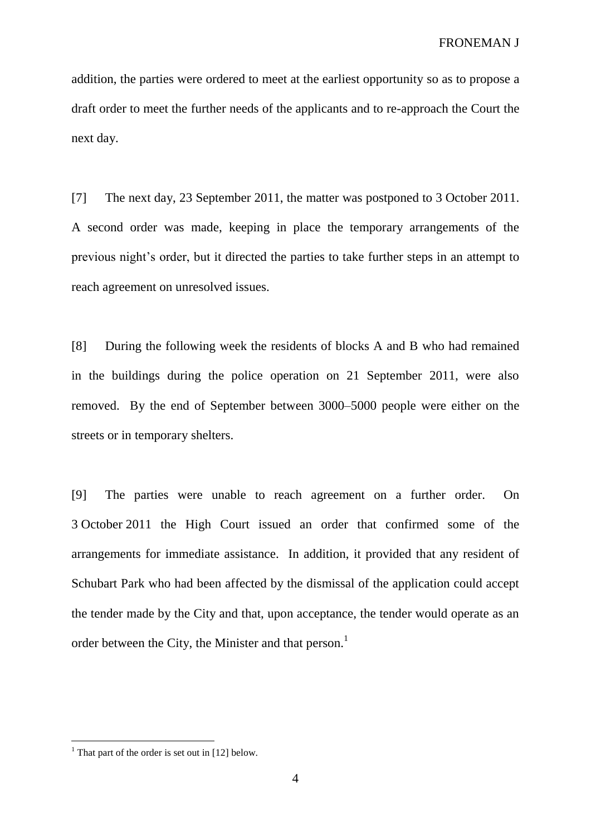addition, the parties were ordered to meet at the earliest opportunity so as to propose a draft order to meet the further needs of the applicants and to re-approach the Court the next day.

[7] The next day, 23 September 2011, the matter was postponed to 3 October 2011. A second order was made, keeping in place the temporary arrangements of the previous night's order, but it directed the parties to take further steps in an attempt to reach agreement on unresolved issues.

[8] During the following week the residents of blocks A and B who had remained in the buildings during the police operation on 21 September 2011, were also removed. By the end of September between 3000–5000 people were either on the streets or in temporary shelters.

[9] The parties were unable to reach agreement on a further order. On 3 October 2011 the High Court issued an order that confirmed some of the arrangements for immediate assistance. In addition, it provided that any resident of Schubart Park who had been affected by the dismissal of the application could accept the tender made by the City and that, upon acceptance, the tender would operate as an order between the City, the Minister and that person.<sup>1</sup>

<sup>&</sup>lt;sup>1</sup> That part of the order is set out in [12] below.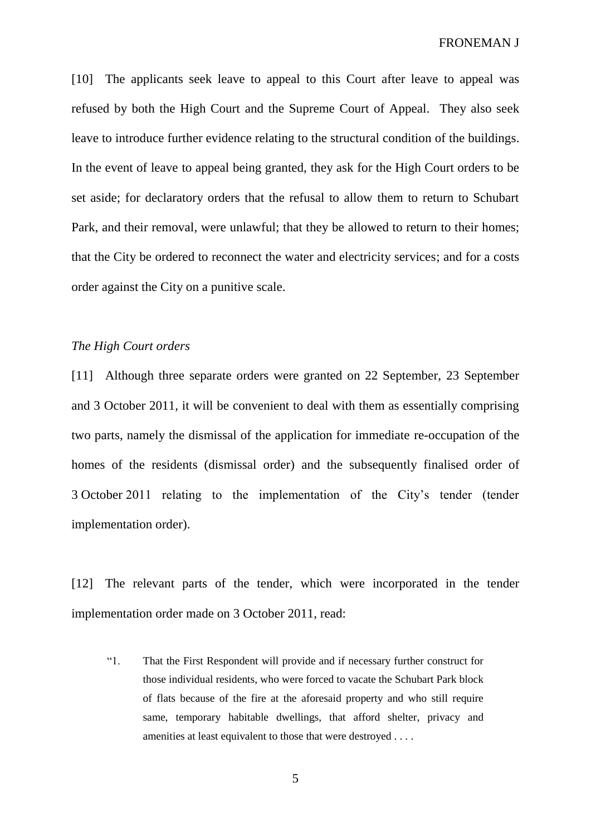FRONEMAN J

[10] The applicants seek leave to appeal to this Court after leave to appeal was refused by both the High Court and the Supreme Court of Appeal. They also seek leave to introduce further evidence relating to the structural condition of the buildings. In the event of leave to appeal being granted, they ask for the High Court orders to be set aside; for declaratory orders that the refusal to allow them to return to Schubart Park, and their removal, were unlawful; that they be allowed to return to their homes; that the City be ordered to reconnect the water and electricity services; and for a costs order against the City on a punitive scale.

### *The High Court orders*

[11] Although three separate orders were granted on 22 September, 23 September and 3 October 2011, it will be convenient to deal with them as essentially comprising two parts, namely the dismissal of the application for immediate re-occupation of the homes of the residents (dismissal order) and the subsequently finalised order of 3 October 2011 relating to the implementation of the City's tender (tender implementation order).

[12] The relevant parts of the tender, which were incorporated in the tender implementation order made on 3 October 2011, read:

"1. That the First Respondent will provide and if necessary further construct for those individual residents, who were forced to vacate the Schubart Park block of flats because of the fire at the aforesaid property and who still require same, temporary habitable dwellings, that afford shelter, privacy and amenities at least equivalent to those that were destroyed . . . .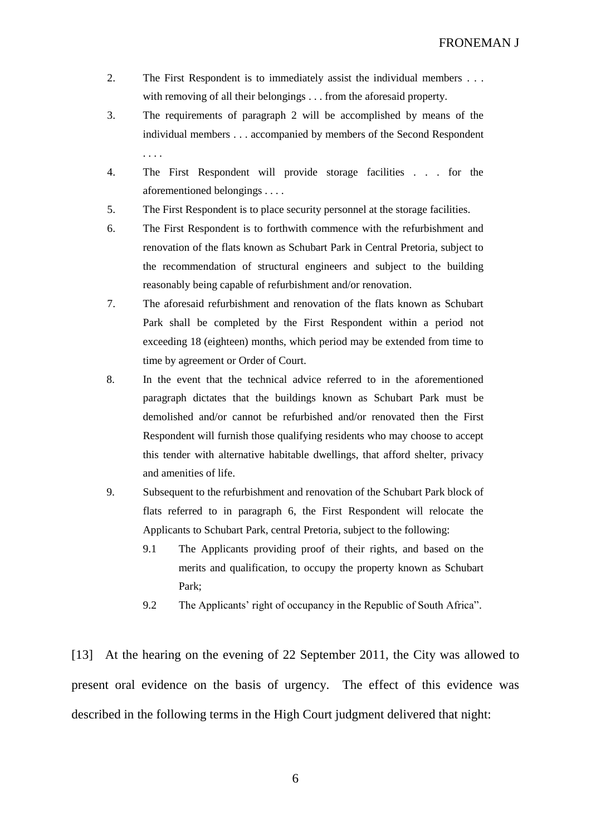- 2. The First Respondent is to immediately assist the individual members . . . with removing of all their belongings . . . from the aforesaid property.
- 3. The requirements of paragraph 2 will be accomplished by means of the individual members . . . accompanied by members of the Second Respondent . . . .
- 4. The First Respondent will provide storage facilities . . . for the aforementioned belongings . . . .
- 5. The First Respondent is to place security personnel at the storage facilities.
- 6. The First Respondent is to forthwith commence with the refurbishment and renovation of the flats known as Schubart Park in Central Pretoria, subject to the recommendation of structural engineers and subject to the building reasonably being capable of refurbishment and/or renovation.
- 7. The aforesaid refurbishment and renovation of the flats known as Schubart Park shall be completed by the First Respondent within a period not exceeding 18 (eighteen) months, which period may be extended from time to time by agreement or Order of Court.
- 8. In the event that the technical advice referred to in the aforementioned paragraph dictates that the buildings known as Schubart Park must be demolished and/or cannot be refurbished and/or renovated then the First Respondent will furnish those qualifying residents who may choose to accept this tender with alternative habitable dwellings, that afford shelter, privacy and amenities of life.
- 9. Subsequent to the refurbishment and renovation of the Schubart Park block of flats referred to in paragraph 6, the First Respondent will relocate the Applicants to Schubart Park, central Pretoria, subject to the following:
	- 9.1 The Applicants providing proof of their rights, and based on the merits and qualification, to occupy the property known as Schubart Park;
	- 9.2 The Applicants' right of occupancy in the Republic of South Africa".

[13] At the hearing on the evening of 22 September 2011, the City was allowed to present oral evidence on the basis of urgency. The effect of this evidence was described in the following terms in the High Court judgment delivered that night: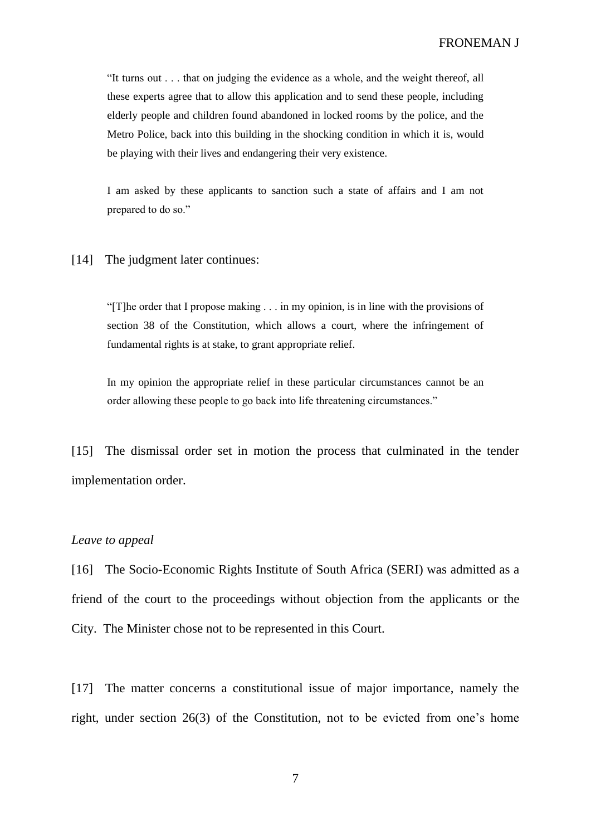"It turns out . . . that on judging the evidence as a whole, and the weight thereof, all these experts agree that to allow this application and to send these people, including elderly people and children found abandoned in locked rooms by the police, and the Metro Police, back into this building in the shocking condition in which it is, would be playing with their lives and endangering their very existence.

I am asked by these applicants to sanction such a state of affairs and I am not prepared to do so."

#### [14] The judgment later continues:

"[T]he order that I propose making . . . in my opinion, is in line with the provisions of section 38 of the Constitution, which allows a court, where the infringement of fundamental rights is at stake, to grant appropriate relief.

In my opinion the appropriate relief in these particular circumstances cannot be an order allowing these people to go back into life threatening circumstances."

[15] The dismissal order set in motion the process that culminated in the tender implementation order.

#### *Leave to appeal*

[16] The Socio-Economic Rights Institute of South Africa (SERI) was admitted as a friend of the court to the proceedings without objection from the applicants or the City. The Minister chose not to be represented in this Court.

[17] The matter concerns a constitutional issue of major importance, namely the right, under section 26(3) of the Constitution, not to be evicted from one's home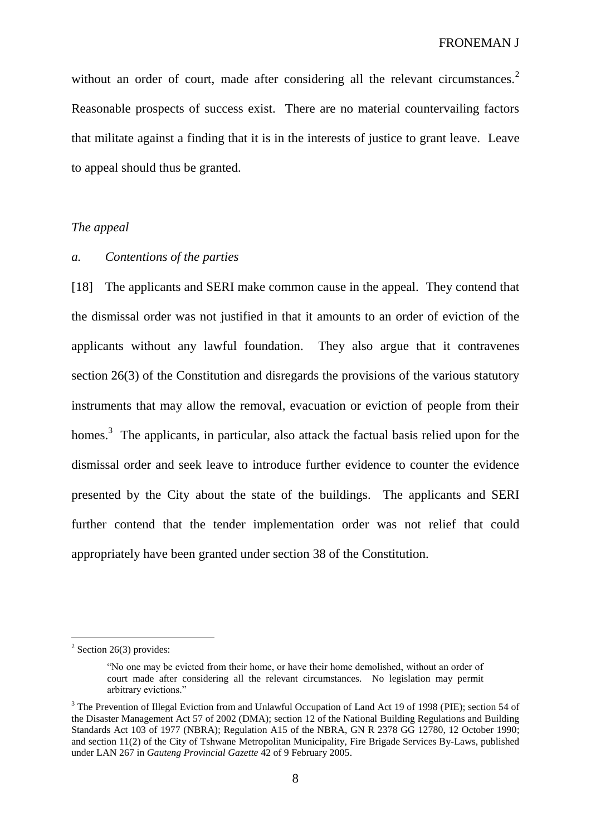without an order of court, made after considering all the relevant circumstances.<sup>2</sup> Reasonable prospects of success exist. There are no material countervailing factors that militate against a finding that it is in the interests of justice to grant leave. Leave to appeal should thus be granted.

### *The appeal*

### *a. Contentions of the parties*

[18] The applicants and SERI make common cause in the appeal. They contend that the dismissal order was not justified in that it amounts to an order of eviction of the applicants without any lawful foundation. They also argue that it contravenes section 26(3) of the Constitution and disregards the provisions of the various statutory instruments that may allow the removal, evacuation or eviction of people from their homes.<sup>3</sup> The applicants, in particular, also attack the factual basis relied upon for the dismissal order and seek leave to introduce further evidence to counter the evidence presented by the City about the state of the buildings. The applicants and SERI further contend that the tender implementation order was not relief that could appropriately have been granted under section 38 of the Constitution.

 $2$  Section 26(3) provides:

<sup>&</sup>quot;No one may be evicted from their home, or have their home demolished, without an order of court made after considering all the relevant circumstances. No legislation may permit arbitrary evictions."

<sup>&</sup>lt;sup>3</sup> The Prevention of Illegal Eviction from and Unlawful Occupation of Land Act 19 of 1998 (PIE); section 54 of the Disaster Management Act 57 of 2002 (DMA); section 12 of the National Building Regulations and Building Standards Act 103 of 1977 (NBRA); Regulation A15 of the NBRA, GN R 2378 GG 12780, 12 October 1990; and section 11(2) of the City of Tshwane Metropolitan Municipality, Fire Brigade Services By-Laws, published under LAN 267 in *Gauteng Provincial Gazette* 42 of 9 February 2005.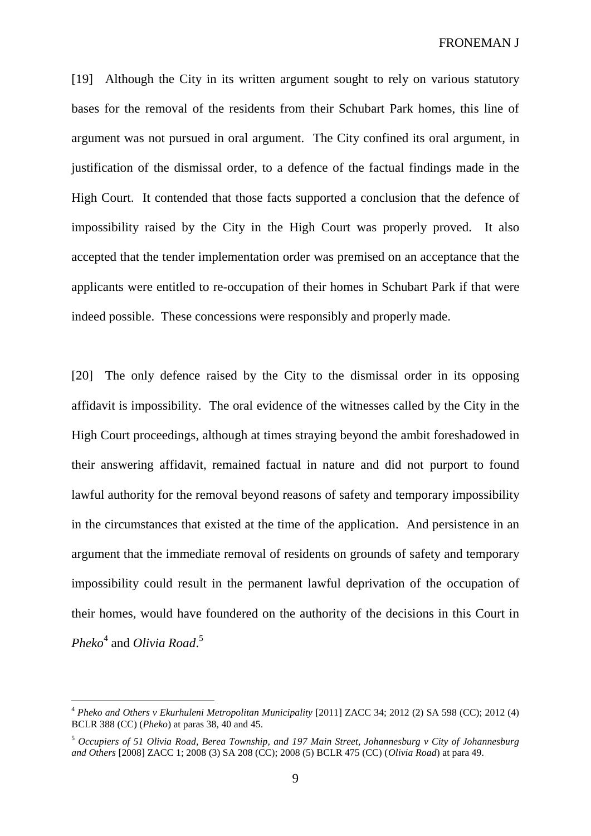FRONEMAN J

[19] Although the City in its written argument sought to rely on various statutory bases for the removal of the residents from their Schubart Park homes, this line of argument was not pursued in oral argument. The City confined its oral argument, in justification of the dismissal order, to a defence of the factual findings made in the High Court. It contended that those facts supported a conclusion that the defence of impossibility raised by the City in the High Court was properly proved. It also accepted that the tender implementation order was premised on an acceptance that the applicants were entitled to re-occupation of their homes in Schubart Park if that were indeed possible. These concessions were responsibly and properly made.

[20] The only defence raised by the City to the dismissal order in its opposing affidavit is impossibility. The oral evidence of the witnesses called by the City in the High Court proceedings, although at times straying beyond the ambit foreshadowed in their answering affidavit, remained factual in nature and did not purport to found lawful authority for the removal beyond reasons of safety and temporary impossibility in the circumstances that existed at the time of the application. And persistence in an argument that the immediate removal of residents on grounds of safety and temporary impossibility could result in the permanent lawful deprivation of the occupation of their homes, would have foundered on the authority of the decisions in this Court in *Pheko*<sup>4</sup> and *Olivia Road*. 5

<sup>4</sup> *Pheko and Others v Ekurhuleni Metropolitan Municipality* [2011] ZACC 34; 2012 (2) SA 598 (CC); 2012 (4) BCLR 388 (CC) (*Pheko*) at paras 38, 40 and 45.

<sup>5</sup> *Occupiers of 51 Olivia Road, Berea Township, and 197 Main Street, Johannesburg v City of Johannesburg and Others* [2008] ZACC 1; 2008 (3) SA 208 (CC); 2008 (5) BCLR 475 (CC) (*Olivia Road*) at para 49.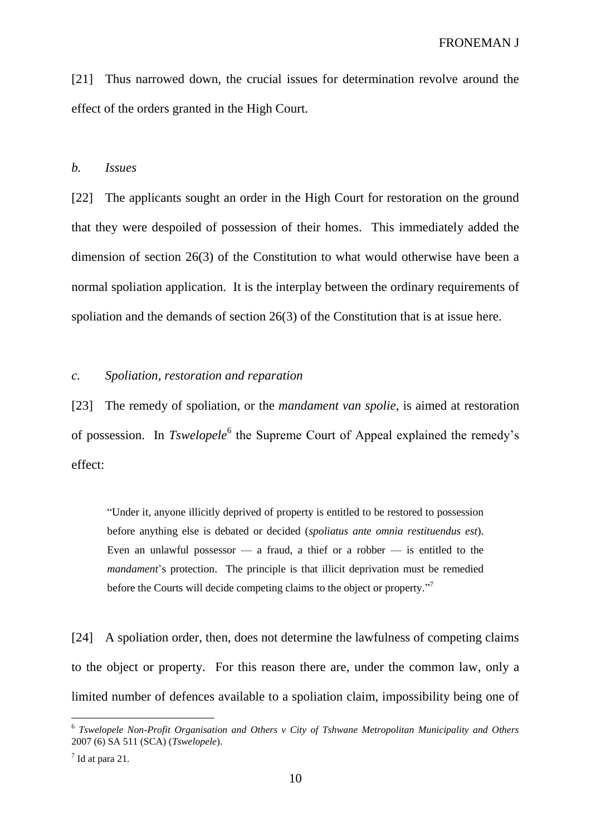[21] Thus narrowed down, the crucial issues for determination revolve around the effect of the orders granted in the High Court.

#### *b. Issues*

[22] The applicants sought an order in the High Court for restoration on the ground that they were despoiled of possession of their homes. This immediately added the dimension of section 26(3) of the Constitution to what would otherwise have been a normal spoliation application. It is the interplay between the ordinary requirements of spoliation and the demands of section 26(3) of the Constitution that is at issue here.

### *c. Spoliation, restoration and reparation*

[23] The remedy of spoliation, or the *mandament van spolie*, is aimed at restoration of possession. In *Tswelopele*<sup>6</sup> the Supreme Court of Appeal explained the remedy's effect:

"Under it, anyone illicitly deprived of property is entitled to be restored to possession before anything else is debated or decided (*spoliatus ante omnia restituendus est*). Even an unlawful possessor  $-$  a fraud, a thief or a robber  $-$  is entitled to the *mandament*'s protection. The principle is that illicit deprivation must be remedied before the Courts will decide competing claims to the object or property."

[24] A spoliation order, then, does not determine the lawfulness of competing claims to the object or property. For this reason there are, under the common law, only a limited number of defences available to a spoliation claim, impossibility being one of

<sup>6</sup> *Tswelopele Non-Profit Organisation and Others v City of Tshwane Metropolitan Municipality and Others*  2007 (6) SA 511 (SCA) (*Tswelopele*).

 $<sup>7</sup>$  Id at para 21.</sup>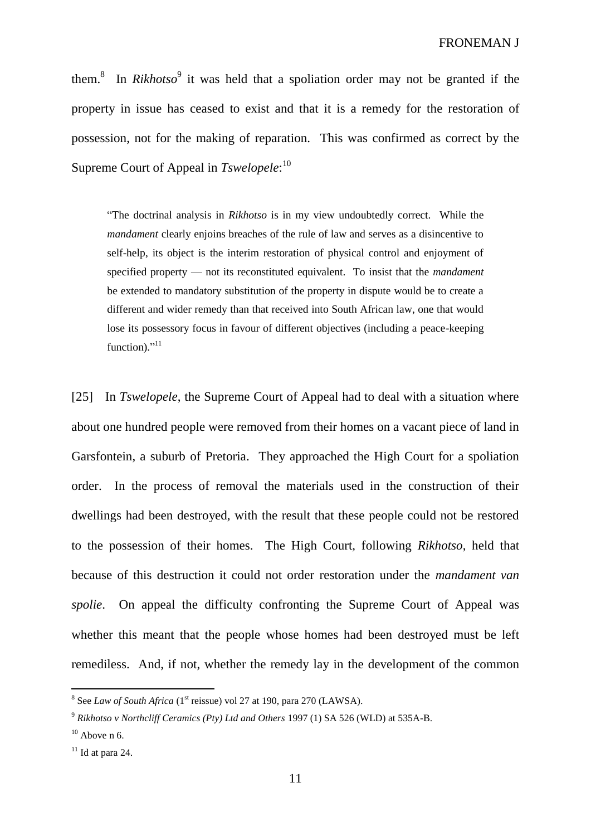them.<sup>8</sup> In *Rikhotso*<sup>9</sup> it was held that a spoliation order may not be granted if the property in issue has ceased to exist and that it is a remedy for the restoration of possession, not for the making of reparation. This was confirmed as correct by the Supreme Court of Appeal in *Tswelopele*: 10

"The doctrinal analysis in *Rikhotso* is in my view undoubtedly correct. While the *mandament* clearly enjoins breaches of the rule of law and serves as a disincentive to self-help, its object is the interim restoration of physical control and enjoyment of specified property — not its reconstituted equivalent. To insist that the *mandament* be extended to mandatory substitution of the property in dispute would be to create a different and wider remedy than that received into South African law, one that would lose its possessory focus in favour of different objectives (including a peace-keeping function)."<sup>11</sup>

[25] In *Tswelopele*, the Supreme Court of Appeal had to deal with a situation where about one hundred people were removed from their homes on a vacant piece of land in Garsfontein, a suburb of Pretoria. They approached the High Court for a spoliation order. In the process of removal the materials used in the construction of their dwellings had been destroyed, with the result that these people could not be restored to the possession of their homes. The High Court, following *Rikhotso*, held that because of this destruction it could not order restoration under the *mandament van spolie*. On appeal the difficulty confronting the Supreme Court of Appeal was whether this meant that the people whose homes had been destroyed must be left remediless. And, if not, whether the remedy lay in the development of the common

 $8$  See *Law of South Africa* (1<sup>st</sup> reissue) vol 27 at 190, para 270 (LAWSA).

<sup>9</sup> *Rikhotso v Northcliff Ceramics (Pty) Ltd and Others* 1997 (1) SA 526 (WLD) at 535A-B.

 $10$  Above n 6.

 $11$  Id at para 24.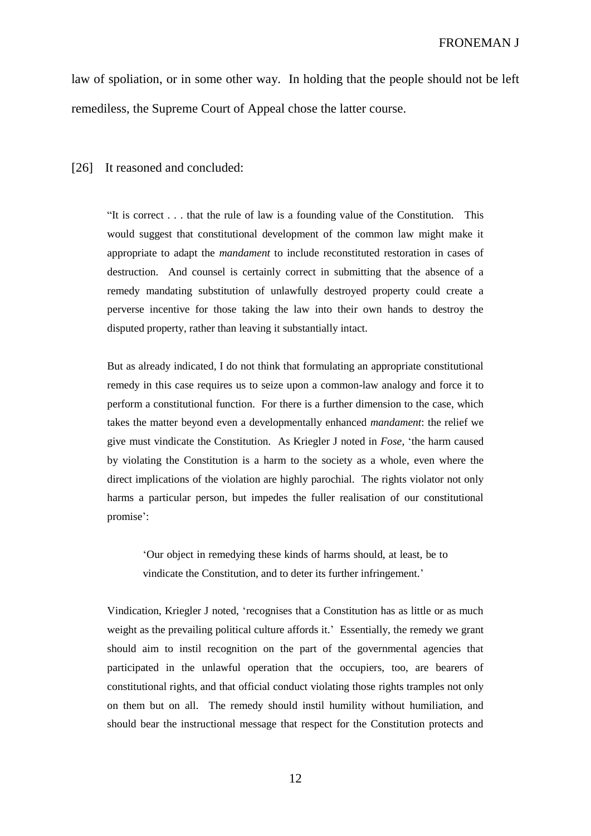law of spoliation, or in some other way. In holding that the people should not be left remediless, the Supreme Court of Appeal chose the latter course.

[26] It reasoned and concluded:

"It is correct . . . that the rule of law is a founding value of the Constitution. This would suggest that constitutional development of the common law might make it appropriate to adapt the *mandament* to include reconstituted restoration in cases of destruction. And counsel is certainly correct in submitting that the absence of a remedy mandating substitution of unlawfully destroyed property could create a perverse incentive for those taking the law into their own hands to destroy the disputed property, rather than leaving it substantially intact.

But as already indicated, I do not think that formulating an appropriate constitutional remedy in this case requires us to seize upon a common-law analogy and force it to perform a constitutional function. For there is a further dimension to the case, which takes the matter beyond even a developmentally enhanced *mandament*: the relief we give must vindicate the Constitution. As Kriegler J noted in *Fose*, 'the harm caused by violating the Constitution is a harm to the society as a whole, even where the direct implications of the violation are highly parochial. The rights violator not only harms a particular person, but impedes the fuller realisation of our constitutional promise':

'Our object in remedying these kinds of harms should, at least, be to vindicate the Constitution, and to deter its further infringement.'

Vindication, Kriegler J noted, 'recognises that a Constitution has as little or as much weight as the prevailing political culture affords it.' Essentially, the remedy we grant should aim to instil recognition on the part of the governmental agencies that participated in the unlawful operation that the occupiers, too, are bearers of constitutional rights, and that official conduct violating those rights tramples not only on them but on all. The remedy should instil humility without humiliation, and should bear the instructional message that respect for the Constitution protects and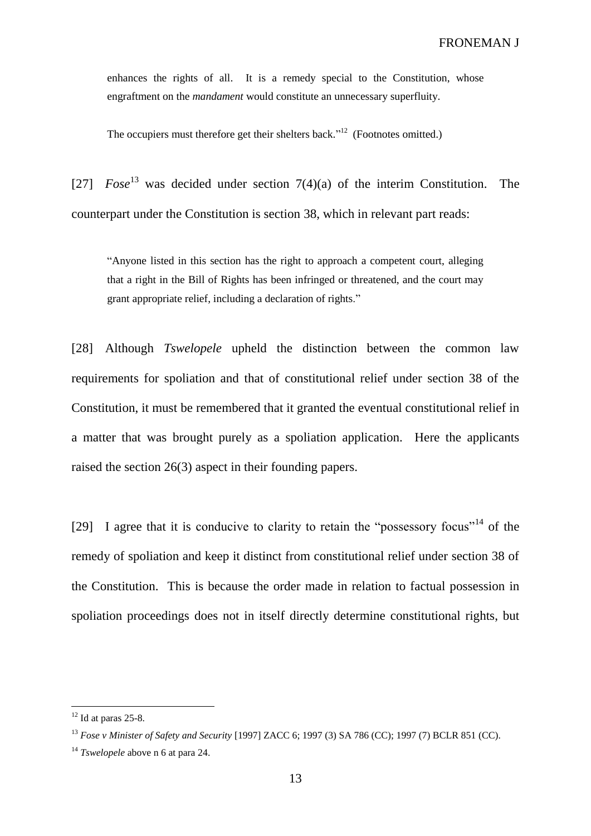enhances the rights of all. It is a remedy special to the Constitution, whose engraftment on the *mandament* would constitute an unnecessary superfluity.

The occupiers must therefore get their shelters back."<sup>12</sup> (Footnotes omitted.)

[27]  $Fose^{13}$  was decided under section  $7(4)(a)$  of the interim Constitution. The counterpart under the Constitution is section 38, which in relevant part reads:

"Anyone listed in this section has the right to approach a competent court, alleging that a right in the Bill of Rights has been infringed or threatened, and the court may grant appropriate relief, including a declaration of rights."

[28] Although *Tswelopele* upheld the distinction between the common law requirements for spoliation and that of constitutional relief under section 38 of the Constitution, it must be remembered that it granted the eventual constitutional relief in a matter that was brought purely as a spoliation application. Here the applicants raised the section 26(3) aspect in their founding papers.

[29] I agree that it is conducive to clarity to retain the "possessory focus"<sup>14</sup> of the remedy of spoliation and keep it distinct from constitutional relief under section 38 of the Constitution. This is because the order made in relation to factual possession in spoliation proceedings does not in itself directly determine constitutional rights, but

 $12$  Id at paras 25-8.

<sup>13</sup> *Fose v Minister of Safety and Security* [1997] ZACC 6; 1997 (3) SA 786 (CC); 1997 (7) BCLR 851 (CC).

<sup>14</sup> *Tswelopele* above n 6 at para 24.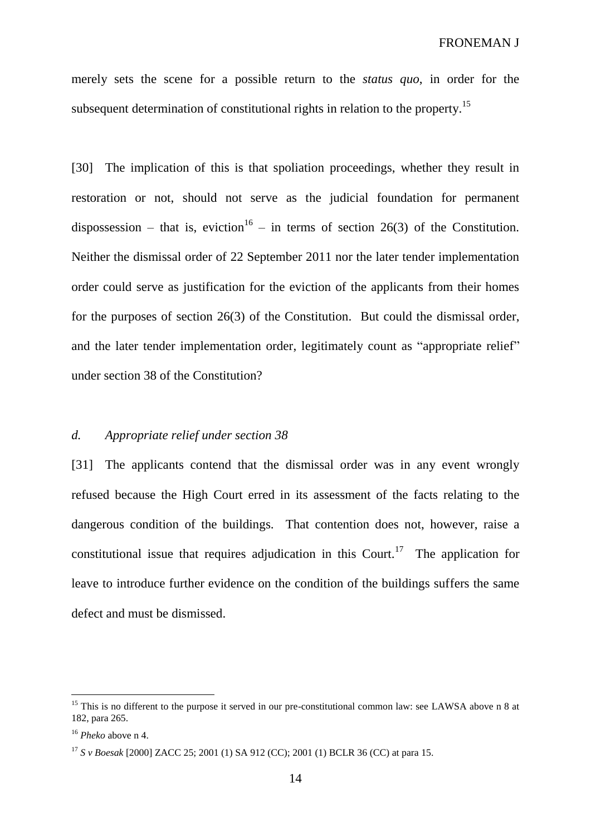merely sets the scene for a possible return to the *status quo*, in order for the subsequent determination of constitutional rights in relation to the property.<sup>15</sup>

[30] The implication of this is that spoliation proceedings, whether they result in restoration or not, should not serve as the judicial foundation for permanent dispossession – that is, eviction<sup>16</sup> – in terms of section 26(3) of the Constitution. Neither the dismissal order of 22 September 2011 nor the later tender implementation order could serve as justification for the eviction of the applicants from their homes for the purposes of section 26(3) of the Constitution. But could the dismissal order, and the later tender implementation order, legitimately count as "appropriate relief" under section 38 of the Constitution?

#### *d. Appropriate relief under section 38*

[31] The applicants contend that the dismissal order was in any event wrongly refused because the High Court erred in its assessment of the facts relating to the dangerous condition of the buildings. That contention does not, however, raise a constitutional issue that requires adjudication in this Court.<sup>17</sup> The application for leave to introduce further evidence on the condition of the buildings suffers the same defect and must be dismissed.

<sup>&</sup>lt;sup>15</sup> This is no different to the purpose it served in our pre-constitutional common law: see LAWSA above n 8 at 182, para 265.

<sup>16</sup> *Pheko* above n 4.

<sup>17</sup> *S v Boesak* [2000] ZACC 25; 2001 (1) SA 912 (CC); 2001 (1) BCLR 36 (CC) at para 15.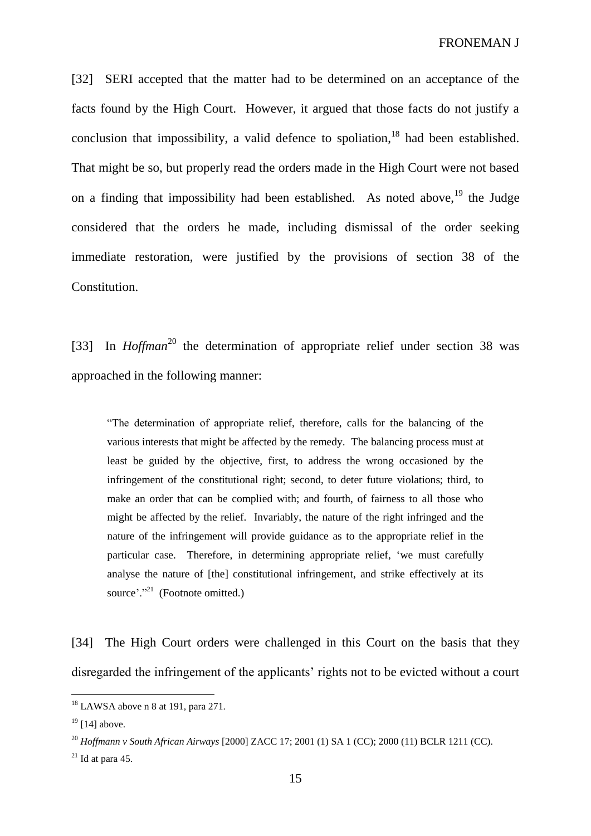FRONEMAN J

[32] SERI accepted that the matter had to be determined on an acceptance of the facts found by the High Court. However, it argued that those facts do not justify a conclusion that impossibility, a valid defence to spoliation.<sup>18</sup> had been established. That might be so, but properly read the orders made in the High Court were not based on a finding that impossibility had been established. As noted above,  $19$  the Judge considered that the orders he made, including dismissal of the order seeking immediate restoration, were justified by the provisions of section 38 of the Constitution.

[33] In *Hoffman*<sup>20</sup> the determination of appropriate relief under section 38 was approached in the following manner:

"The determination of appropriate relief, therefore, calls for the balancing of the various interests that might be affected by the remedy. The balancing process must at least be guided by the objective, first, to address the wrong occasioned by the infringement of the constitutional right; second, to deter future violations; third, to make an order that can be complied with; and fourth, of fairness to all those who might be affected by the relief. Invariably, the nature of the right infringed and the nature of the infringement will provide guidance as to the appropriate relief in the particular case. Therefore, in determining appropriate relief, 'we must carefully analyse the nature of [the] constitutional infringement, and strike effectively at its source'."<sup>21</sup> (Footnote omitted.)

[34] The High Court orders were challenged in this Court on the basis that they disregarded the infringement of the applicants' rights not to be evicted without a court

 $18$  LAWSA above n 8 at 191, para 271.

 $19$  [14] above.

<sup>20</sup> *Hoffmann v South African Airways* [2000] ZACC 17; 2001 (1) SA 1 (CC); 2000 (11) BCLR 1211 (CC).

 $21$  Id at para 45.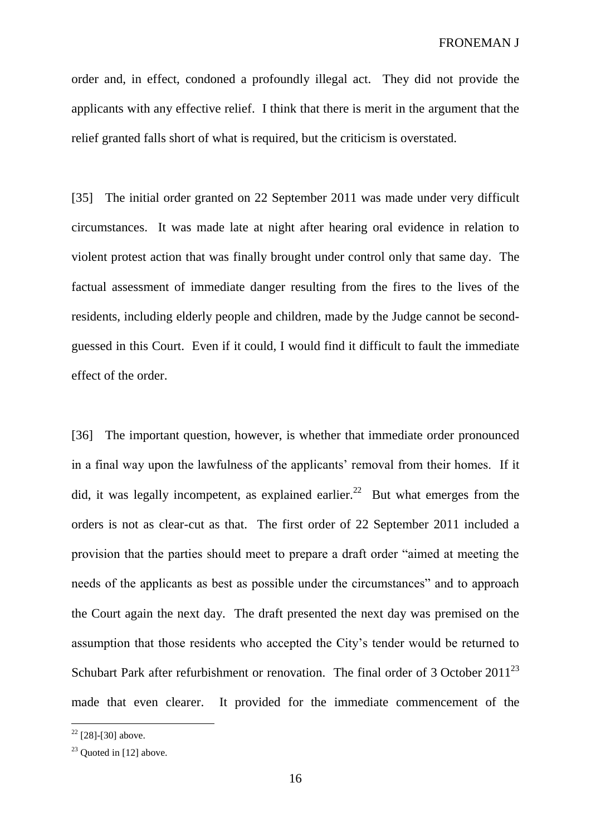order and, in effect, condoned a profoundly illegal act. They did not provide the applicants with any effective relief. I think that there is merit in the argument that the relief granted falls short of what is required, but the criticism is overstated.

[35] The initial order granted on 22 September 2011 was made under very difficult circumstances. It was made late at night after hearing oral evidence in relation to violent protest action that was finally brought under control only that same day. The factual assessment of immediate danger resulting from the fires to the lives of the residents, including elderly people and children, made by the Judge cannot be secondguessed in this Court. Even if it could, I would find it difficult to fault the immediate effect of the order.

[36] The important question, however, is whether that immediate order pronounced in a final way upon the lawfulness of the applicants' removal from their homes. If it did, it was legally incompetent, as explained earlier.<sup>22</sup> But what emerges from the orders is not as clear-cut as that. The first order of 22 September 2011 included a provision that the parties should meet to prepare a draft order "aimed at meeting the needs of the applicants as best as possible under the circumstances" and to approach the Court again the next day. The draft presented the next day was premised on the assumption that those residents who accepted the City's tender would be returned to Schubart Park after refurbishment or renovation. The final order of 3 October 2011<sup>23</sup> made that even clearer. It provided for the immediate commencement of the

 $22$  [28]-[30] above.

 $23$  Quoted in [12] above.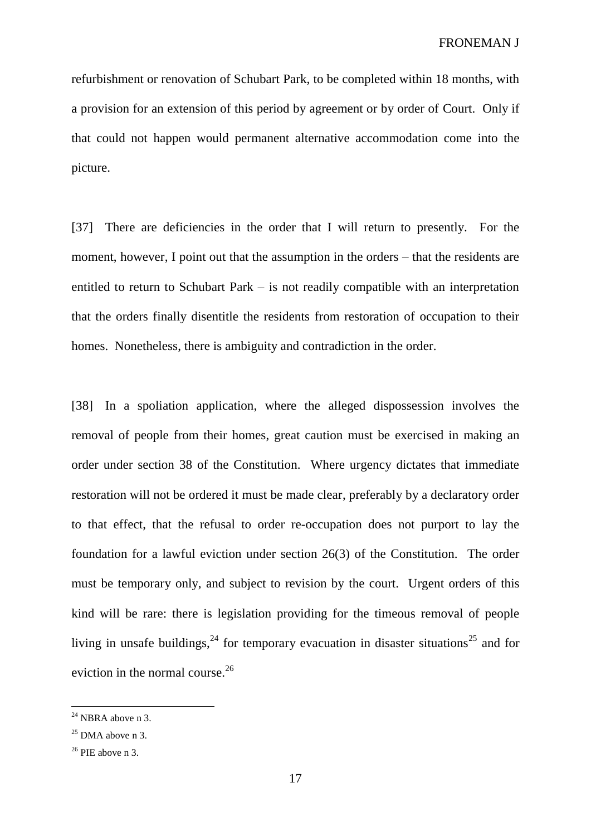refurbishment or renovation of Schubart Park, to be completed within 18 months, with a provision for an extension of this period by agreement or by order of Court. Only if that could not happen would permanent alternative accommodation come into the picture.

[37] There are deficiencies in the order that I will return to presently. For the moment, however, I point out that the assumption in the orders – that the residents are entitled to return to Schubart Park – is not readily compatible with an interpretation that the orders finally disentitle the residents from restoration of occupation to their homes. Nonetheless, there is ambiguity and contradiction in the order.

[38] In a spoliation application, where the alleged dispossession involves the removal of people from their homes, great caution must be exercised in making an order under section 38 of the Constitution. Where urgency dictates that immediate restoration will not be ordered it must be made clear, preferably by a declaratory order to that effect, that the refusal to order re-occupation does not purport to lay the foundation for a lawful eviction under section 26(3) of the Constitution. The order must be temporary only, and subject to revision by the court. Urgent orders of this kind will be rare: there is legislation providing for the timeous removal of people living in unsafe buildings,  $24$  for temporary evacuation in disaster situations<sup>25</sup> and for eviction in the normal course.<sup>26</sup>

 $24$  NBRA above n 3.

 $25$  DMA above n 3.

 $26$  PIE above n 3.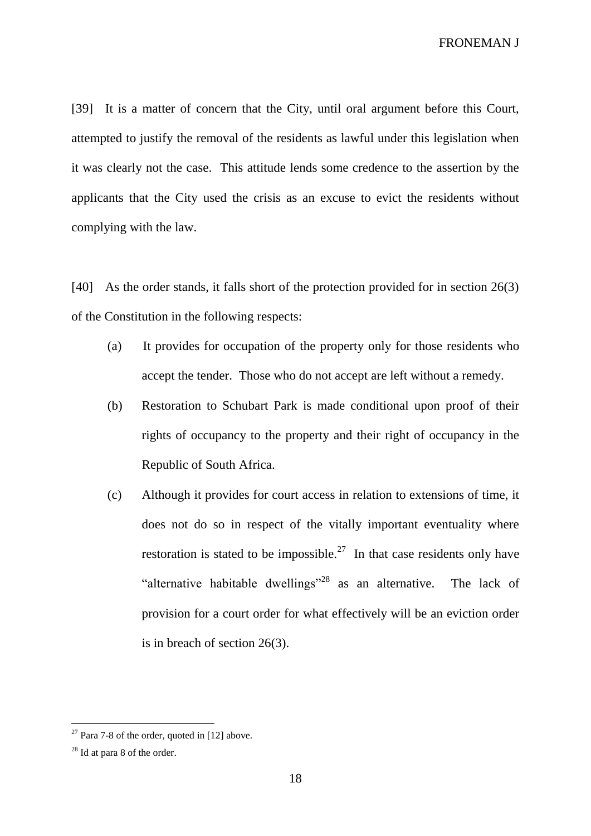[39] It is a matter of concern that the City, until oral argument before this Court, attempted to justify the removal of the residents as lawful under this legislation when it was clearly not the case. This attitude lends some credence to the assertion by the applicants that the City used the crisis as an excuse to evict the residents without complying with the law.

[40] As the order stands, it falls short of the protection provided for in section 26(3) of the Constitution in the following respects:

- (a) It provides for occupation of the property only for those residents who accept the tender. Those who do not accept are left without a remedy.
- (b) Restoration to Schubart Park is made conditional upon proof of their rights of occupancy to the property and their right of occupancy in the Republic of South Africa.
- (c) Although it provides for court access in relation to extensions of time, it does not do so in respect of the vitally important eventuality where restoration is stated to be impossible.<sup>27</sup> In that case residents only have "alternative habitable dwellings"<sup>28</sup> as an alternative. The lack of provision for a court order for what effectively will be an eviction order is in breach of section 26(3).

 $27$  Para 7-8 of the order, quoted in [12] above.

 $28$  Id at para 8 of the order.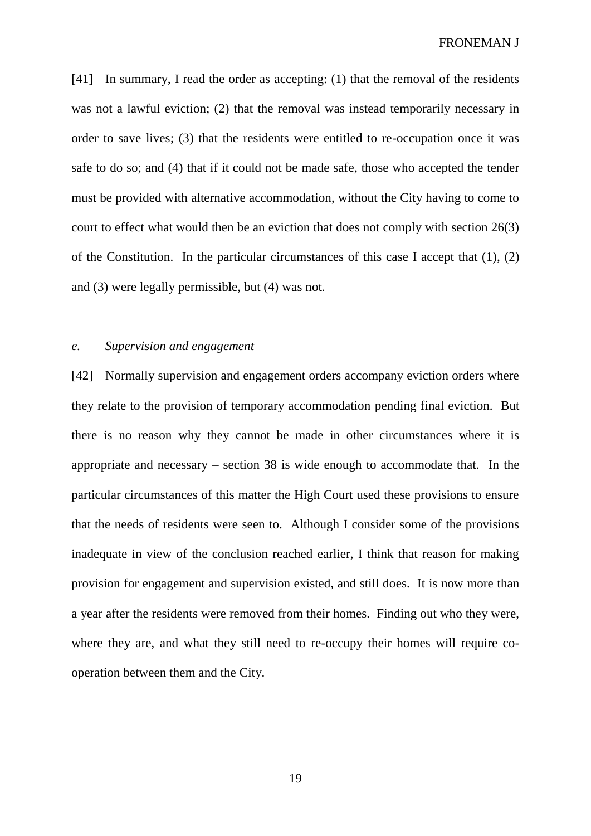[41] In summary, I read the order as accepting: (1) that the removal of the residents was not a lawful eviction; (2) that the removal was instead temporarily necessary in order to save lives; (3) that the residents were entitled to re-occupation once it was safe to do so; and (4) that if it could not be made safe, those who accepted the tender must be provided with alternative accommodation, without the City having to come to court to effect what would then be an eviction that does not comply with section 26(3) of the Constitution. In the particular circumstances of this case I accept that (1), (2) and (3) were legally permissible, but (4) was not.

### *e. Supervision and engagement*

[42] Normally supervision and engagement orders accompany eviction orders where they relate to the provision of temporary accommodation pending final eviction. But there is no reason why they cannot be made in other circumstances where it is appropriate and necessary – section 38 is wide enough to accommodate that. In the particular circumstances of this matter the High Court used these provisions to ensure that the needs of residents were seen to. Although I consider some of the provisions inadequate in view of the conclusion reached earlier, I think that reason for making provision for engagement and supervision existed, and still does. It is now more than a year after the residents were removed from their homes. Finding out who they were, where they are, and what they still need to re-occupy their homes will require cooperation between them and the City.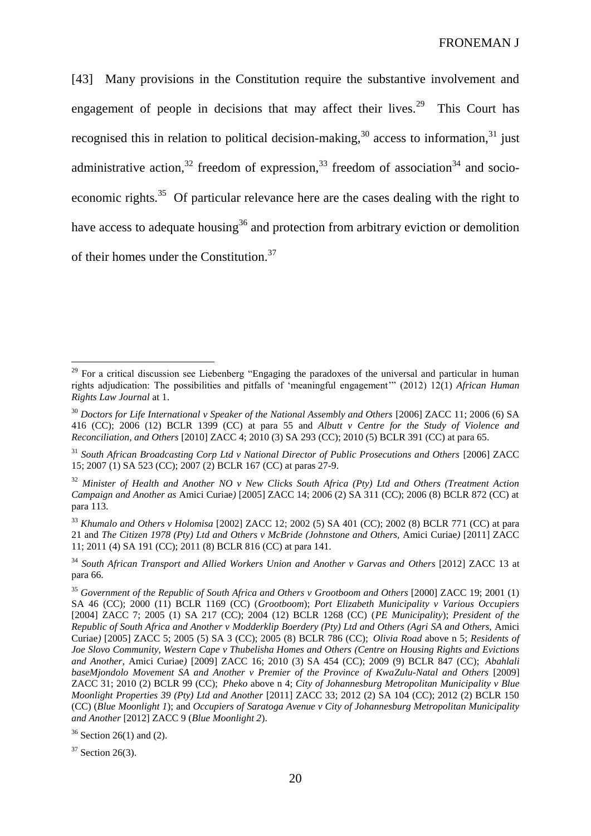[43] Many provisions in the Constitution require the substantive involvement and engagement of people in decisions that may affect their lives.<sup>29</sup> This Court has recognised this in relation to political decision-making,  $30$  access to information,  $31$  just administrative action,<sup>32</sup> freedom of expression,<sup>33</sup> freedom of association<sup>34</sup> and socioeconomic rights.<sup>35</sup> Of particular relevance here are the cases dealing with the right to have access to adequate housing<sup>36</sup> and protection from arbitrary eviction or demolition of their homes under the Constitution.<sup>37</sup>

<sup>33</sup> *Khumalo and Others v Holomisa* [2002] ZACC 12; 2002 (5) SA 401 (CC); 2002 (8) BCLR 771 (CC) at para 21 and *The Citizen 1978 (Pty) Ltd and Others v McBride (Johnstone and Others,* Amici Curiae*)* [2011] ZACC 11; 2011 (4) SA 191 (CC); 2011 (8) BCLR 816 (CC) at para 141.

 $37$  Section 26(3).

<sup>&</sup>lt;sup>29</sup> For a critical discussion see Liebenberg "Engaging the paradoxes of the universal and particular in human rights adjudication: The possibilities and pitfalls of 'meaningful engagement'" (2012) 12(1) *African Human Rights Law Journal* at 1.

<sup>&</sup>lt;sup>30</sup> Doctors for Life International v Speaker of the National Assembly and Others [2006] ZACC 11; 2006 (6) SA 416 (CC); 2006 (12) BCLR 1399 (CC) at para 55 and *Albutt v Centre for the Study of Violence and Reconciliation, and Others* [2010] ZACC 4; 2010 (3) SA 293 (CC); 2010 (5) BCLR 391 (CC) at para 65.

<sup>&</sup>lt;sup>31</sup> South African Broadcasting Corp Ltd v National Director of Public Prosecutions and Others [2006] ZACC 15; 2007 (1) SA 523 (CC); 2007 (2) BCLR 167 (CC) at paras 27-9.

<sup>32</sup> *Minister of Health and Another NO v New Clicks South Africa (Pty) Ltd and Others (Treatment Action Campaign and Another as* Amici Curiae*)* [2005] ZACC 14; 2006 (2) SA 311 (CC); 2006 (8) BCLR 872 (CC) at para 113.

<sup>34</sup> *South African Transport and Allied Workers Union and Another v Garvas and Others* [2012] ZACC 13 at para 66.

<sup>35</sup> *Government of the Republic of South Africa and Others v Grootboom and Others* [2000] ZACC 19; 2001 (1) SA 46 (CC); 2000 (11) BCLR 1169 (CC) (*Grootboom*); *Port Elizabeth Municipality v Various Occupiers* [2004] ZACC 7; 2005 (1) SA 217 (CC); 2004 (12) BCLR 1268 (CC) (*PE Municipality*); *President of the Republic of South Africa and Another v Modderklip Boerdery (Pty) Ltd and Others (Agri SA and Others,* Amici Curiae*)* [2005] ZACC 5; 2005 (5) SA 3 (CC); 2005 (8) BCLR 786 (CC); *Olivia Road* above n 5; *Residents of Joe Slovo Community, Western Cape v Thubelisha Homes and Others (Centre on Housing Rights and Evictions and Another,* Amici Curiae*)* [2009] ZACC 16; 2010 (3) SA 454 (CC); 2009 (9) BCLR 847 (CC); *Abahlali baseMjondolo Movement SA and Another v Premier of the Province of KwaZulu-Natal and Others* [2009] ZACC 31; 2010 (2) BCLR 99 (CC); *Pheko* above n 4; *City of Johannesburg Metropolitan Municipality v Blue Moonlight Properties 39 (Pty) Ltd and Another* [2011] ZACC 33; 2012 (2) SA 104 (CC); 2012 (2) BCLR 150 (CC) (*Blue Moonlight 1*); and *Occupiers of Saratoga Avenue v City of Johannesburg Metropolitan Municipality and Another* [2012] ZACC 9 (*Blue Moonlight 2*).

 $36$  Section 26(1) and (2).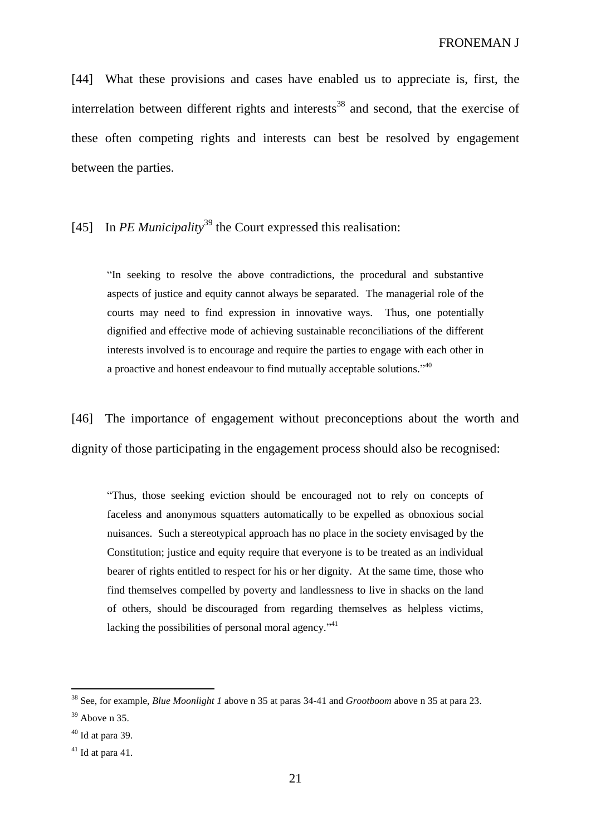[44] What these provisions and cases have enabled us to appreciate is, first, the interrelation between different rights and interests<sup>38</sup> and second, that the exercise of these often competing rights and interests can best be resolved by engagement between the parties.

[45] In *PE Municipality*<sup>39</sup> the Court expressed this realisation:

"In seeking to resolve the above contradictions, the procedural and substantive aspects of justice and equity cannot always be separated. The managerial role of the courts may need to find expression in innovative ways. Thus, one potentially dignified and effective mode of achieving sustainable reconciliations of the different interests involved is to encourage and require the parties to engage with each other in a proactive and honest endeavour to find mutually acceptable solutions."<sup>40</sup>

[46] The importance of engagement without preconceptions about the worth and dignity of those participating in the engagement process should also be recognised:

"Thus, those seeking eviction should be encouraged not to rely on concepts of faceless and anonymous squatters automatically to be expelled as obnoxious social nuisances. Such a stereotypical approach has no place in the society envisaged by the Constitution; justice and equity require that everyone is to be treated as an individual bearer of rights entitled to respect for his or her dignity. At the same time, those who find themselves compelled by poverty and landlessness to live in shacks on the land of others, should be discouraged from regarding themselves as helpless victims, lacking the possibilities of personal moral agency."<sup>41</sup>

<sup>38</sup> See, for example, *Blue Moonlight 1* above n 35 at paras 34-41 and *Grootboom* above n 35 at para 23.

 $39$  Above n 35.

 $40$  Id at para 39.

 $41$  Id at para 41.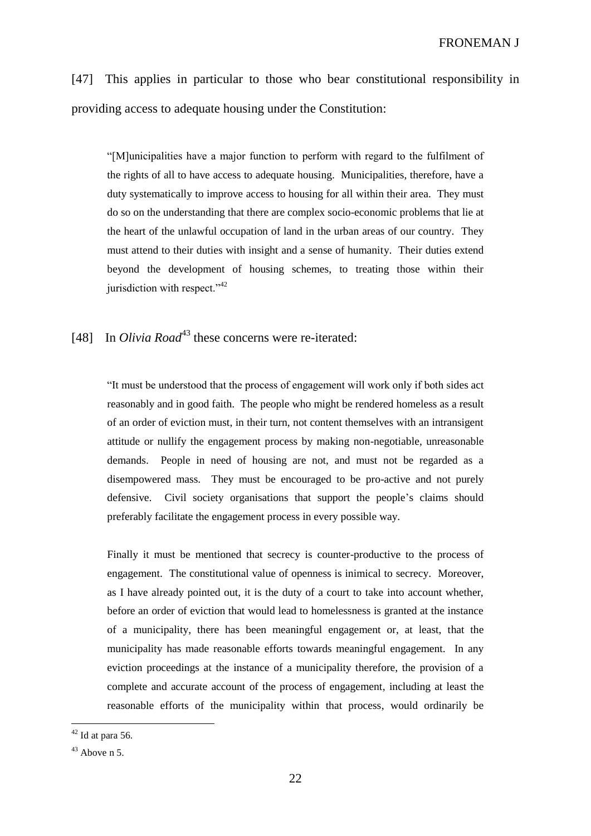[47] This applies in particular to those who bear constitutional responsibility in providing access to adequate housing under the Constitution:

"[M]unicipalities have a major function to perform with regard to the fulfilment of the rights of all to have access to adequate housing. Municipalities, therefore, have a duty systematically to improve access to housing for all within their area. They must do so on the understanding that there are complex socio-economic problems that lie at the heart of the unlawful occupation of land in the urban areas of our country. They must attend to their duties with insight and a sense of humanity. Their duties extend beyond the development of housing schemes, to treating those within their jurisdiction with respect."<sup>42</sup>

# [48] In *Olivia Road*<sup>43</sup> these concerns were re-iterated:

"It must be understood that the process of engagement will work only if both sides act reasonably and in good faith. The people who might be rendered homeless as a result of an order of eviction must, in their turn, not content themselves with an intransigent attitude or nullify the engagement process by making non-negotiable, unreasonable demands. People in need of housing are not, and must not be regarded as a disempowered mass. They must be encouraged to be pro-active and not purely defensive. Civil society organisations that support the people's claims should preferably facilitate the engagement process in every possible way.

Finally it must be mentioned that secrecy is counter-productive to the process of engagement. The constitutional value of openness is inimical to secrecy. Moreover, as I have already pointed out, it is the duty of a court to take into account whether, before an order of eviction that would lead to homelessness is granted at the instance of a municipality, there has been meaningful engagement or, at least, that the municipality has made reasonable efforts towards meaningful engagement. In any eviction proceedings at the instance of a municipality therefore, the provision of a complete and accurate account of the process of engagement, including at least the reasonable efforts of the municipality within that process, would ordinarily be

 $42$  Id at para 56.

 $43$  Above n 5.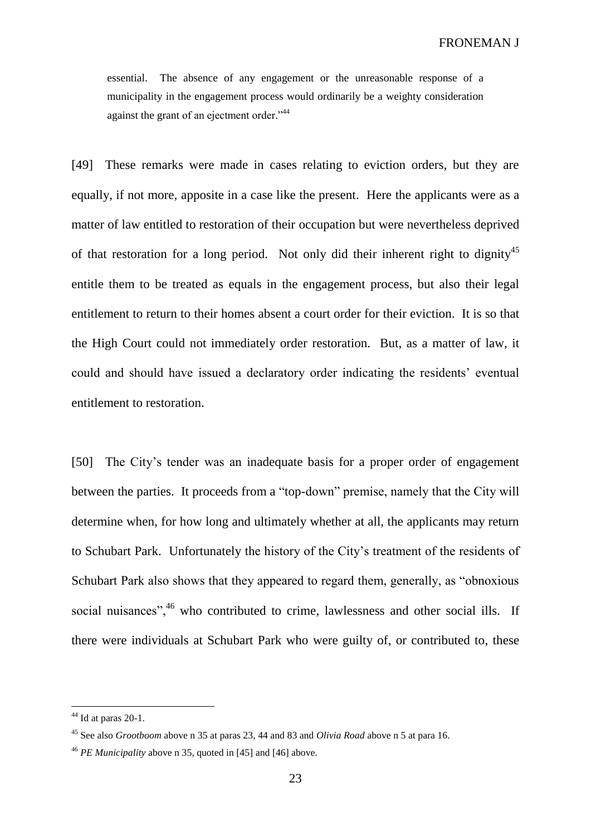essential. The absence of any engagement or the unreasonable response of a municipality in the engagement process would ordinarily be a weighty consideration against the grant of an ejectment order."<sup>44</sup>

[49] These remarks were made in cases relating to eviction orders, but they are equally, if not more, apposite in a case like the present. Here the applicants were as a matter of law entitled to restoration of their occupation but were nevertheless deprived of that restoration for a long period. Not only did their inherent right to dignity<sup>45</sup> entitle them to be treated as equals in the engagement process, but also their legal entitlement to return to their homes absent a court order for their eviction. It is so that the High Court could not immediately order restoration. But, as a matter of law, it could and should have issued a declaratory order indicating the residents' eventual entitlement to restoration.

[50] The City's tender was an inadequate basis for a proper order of engagement between the parties. It proceeds from a "top-down" premise, namely that the City will determine when, for how long and ultimately whether at all, the applicants may return to Schubart Park. Unfortunately the history of the City's treatment of the residents of Schubart Park also shows that they appeared to regard them, generally, as "obnoxious social nuisances",<sup>46</sup> who contributed to crime, lawlessness and other social ills. If there were individuals at Schubart Park who were guilty of, or contributed to, these

 $44$  Id at paras 20-1.

<sup>45</sup> See also *Grootboom* above n 35 at paras 23, 44 and 83 and *Olivia Road* above n 5 at para 16.

<sup>46</sup> *PE Municipality* above n 35, quoted in [45] and [46] above.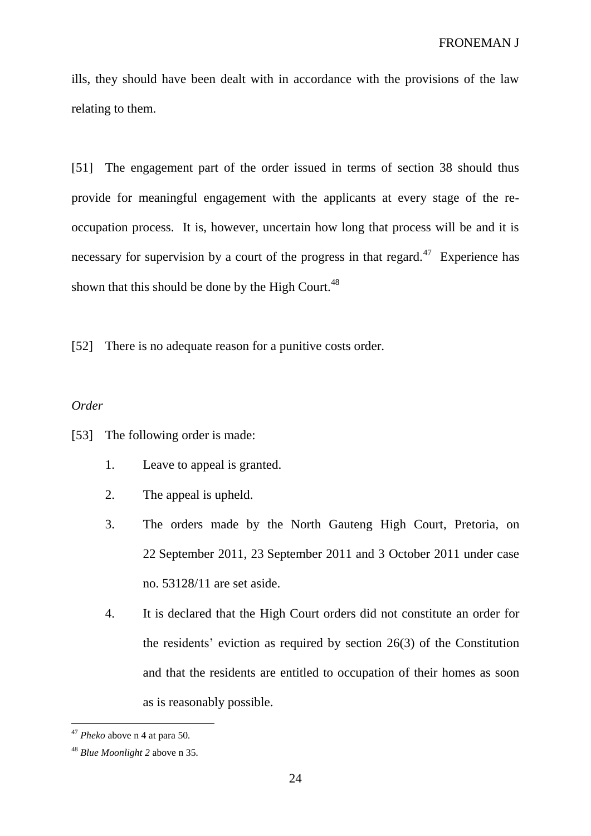ills, they should have been dealt with in accordance with the provisions of the law relating to them.

[51] The engagement part of the order issued in terms of section 38 should thus provide for meaningful engagement with the applicants at every stage of the reoccupation process. It is, however, uncertain how long that process will be and it is necessary for supervision by a court of the progress in that regard.<sup>47</sup> Experience has shown that this should be done by the High Court.<sup>48</sup>

[52] There is no adequate reason for a punitive costs order.

### *Order*

- [53] The following order is made:
	- 1. Leave to appeal is granted.
	- 2. The appeal is upheld.
	- 3. The orders made by the North Gauteng High Court, Pretoria, on 22 September 2011, 23 September 2011 and 3 October 2011 under case no. 53128/11 are set aside.
	- 4. It is declared that the High Court orders did not constitute an order for the residents' eviction as required by section 26(3) of the Constitution and that the residents are entitled to occupation of their homes as soon as is reasonably possible.

<sup>47</sup> *Pheko* above n 4 at para 50*.*

<sup>48</sup> *Blue Moonlight 2* above n 35*.*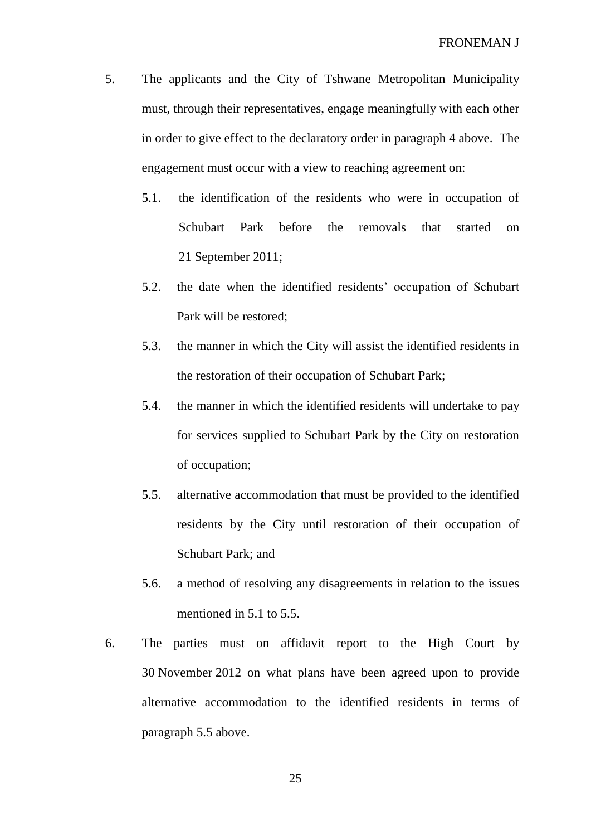- 5. The applicants and the City of Tshwane Metropolitan Municipality must, through their representatives, engage meaningfully with each other in order to give effect to the declaratory order in paragraph 4 above. The engagement must occur with a view to reaching agreement on:
	- 5.1. the identification of the residents who were in occupation of Schubart Park before the removals that started on 21 September 2011;
	- 5.2. the date when the identified residents' occupation of Schubart Park will be restored;
	- 5.3. the manner in which the City will assist the identified residents in the restoration of their occupation of Schubart Park;
	- 5.4. the manner in which the identified residents will undertake to pay for services supplied to Schubart Park by the City on restoration of occupation;
	- 5.5. alternative accommodation that must be provided to the identified residents by the City until restoration of their occupation of Schubart Park; and
	- 5.6. a method of resolving any disagreements in relation to the issues mentioned in 5.1 to 5.5.
- 6. The parties must on affidavit report to the High Court by 30 November 2012 on what plans have been agreed upon to provide alternative accommodation to the identified residents in terms of paragraph 5.5 above.

25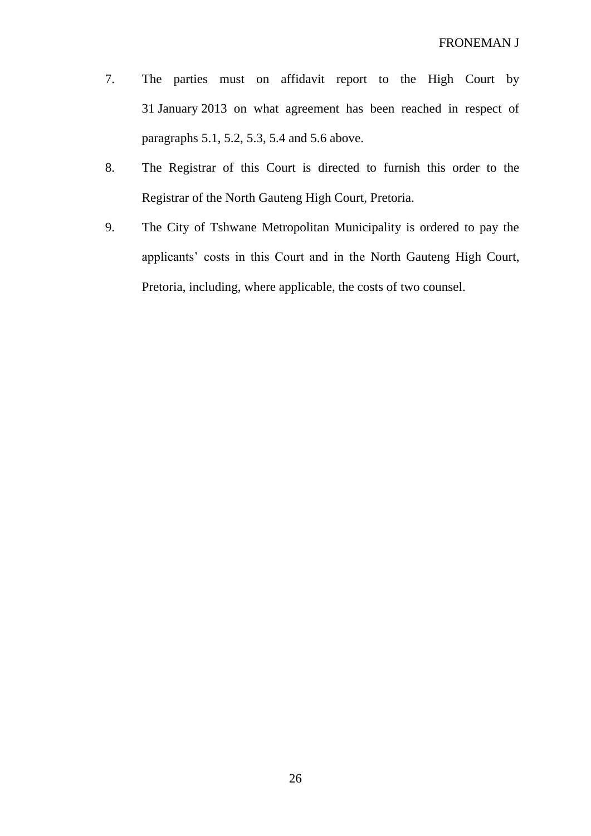- 7. The parties must on affidavit report to the High Court by 31 January 2013 on what agreement has been reached in respect of paragraphs 5.1, 5.2, 5.3, 5.4 and 5.6 above.
- 8. The Registrar of this Court is directed to furnish this order to the Registrar of the North Gauteng High Court, Pretoria.
- 9. The City of Tshwane Metropolitan Municipality is ordered to pay the applicants' costs in this Court and in the North Gauteng High Court, Pretoria, including, where applicable, the costs of two counsel.